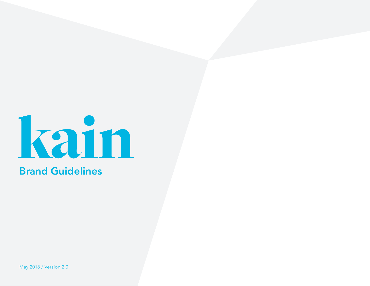

May 2018 / Version 2.0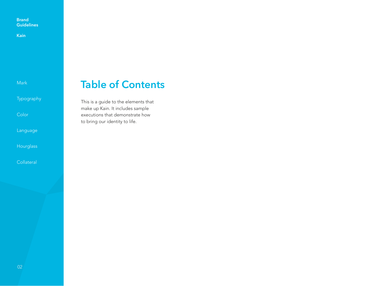**Kain**

Mark

Typography

Color

Language

**Hourglass** 

**Collateral** 

### **Table of Contents**

This is a guide to the elements that make up Kain. It includes sample executions that demonstrate how to bring our identity to life.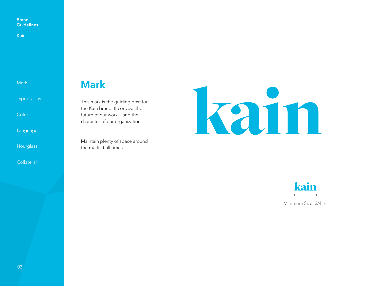**Kain**

Mark

Typography

Color

Language

**Hourglass** 

**Collateral** 

### **Mark**

This mark is the guiding post for the Kain brand. It conveys the future of our work – and the character of our organization.

Maintain plenty of space around the mark at all times.





Minimum Size: 3/4 in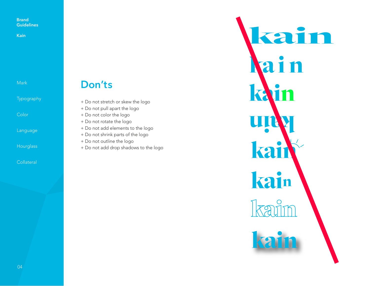**Kain**

Mark

Typography

Color

Language

**Hourglass** 

**Collateral** 

### **Don'ts**

- + Do not stretch or skew the logo
- + Do not pull apart the logo

+ Do not color the logo

- + Do not rotate the logo
- + Do not add elements to the logo
- + Do not shrink parts of the logo
- + Do not outline the logo
- + Do not add drop shadows to the logo

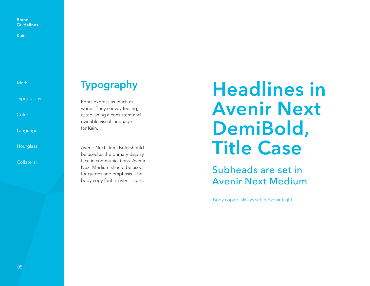**Kain**

Mark

Typography

**Color** 

Language

**Hourglass** 

Collateral

# **Typography**

Fonts express as much as words. They convey feeling, establishing a consistent and ownable visual language for Kain.

Avenir Next Demi Bold should be used as the primary display face in communications. Avenir Next Medium should be used for quotes and emphasis. The body copy font is Avenir Light.

# **Headlines in Avenir Next DemiBold, Title Case**

Subheads are set in Avenir Next Medium

Body copy is always set in Avenir Light.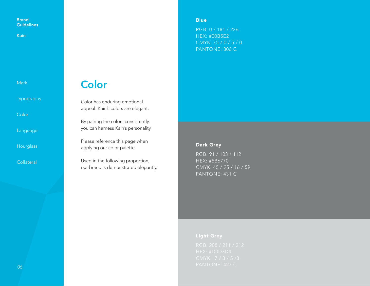**Kain**

Mark

Typography

Color

Language

**Hourglass** 

**Collateral** 

### **Color**

Color has enduring emotional appeal. Kain's colors are elegant.

By pairing the colors consistently, you can harness Kain's personality.

Please reference this page when applying our color palette.

Used in the following proportion, our brand is demonstrated elegantly. **Blue** 

RGB: 0 / 181 / 226 HEX: #00B5E2 CMYK: 75 / 0 / 5 / 0 PANTONE: 306 C

### Dark Grey

RGB: 91 / 103 / 112 HEX: #5B6770 CMYK: 45 / 25 / 16 / 59 PANTONE: 431 C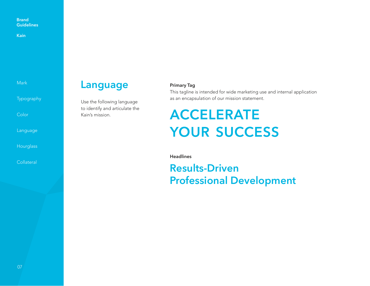**Kain**

Mark

Typography

**Color** 

Language

**Hourglass** 

**Collateral** 

### **Language**

Use the following language to identify and articulate the Kain's mission.

### **Primary Tag**

This tagline is intended for wide marketing use and internal application as an encapsulation of our mission statement.

# **ACCELERATE YOUR SUCCESS**

**Headlines**

### **Results-Driven Professional Development**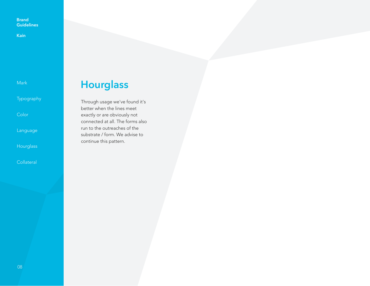**Kain**

Mark

Typography

Color

Language

**Hourglass** 

**Collateral** 

## **Hourglass**

Through usage we've found it's better when the lines meet exactly or are obviously not connected at all. The forms also run to the outreaches of the substrate / form. We advise to continue this pattern.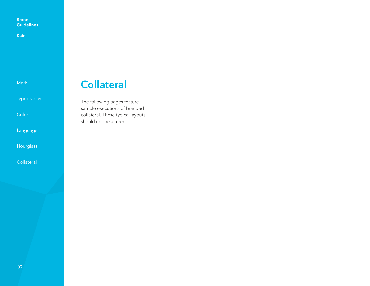**Kain**

Mark

Typography

Color

Language

**Hourglass** 

**Collateral** 

### **Collateral**

The following pages feature sample executions of branded collateral. These typical layouts should not be altered.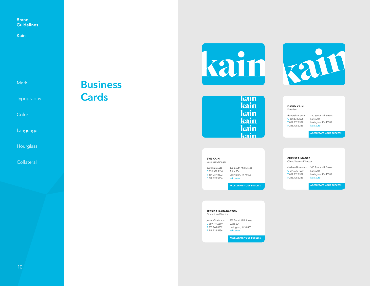**Kain**

Mark

Typography

**Color** 

Language

**Hourglass** 

**Collateral** 

### **Business Cards**





| kain |
|------|
| kain |
| kain |
| kain |
| kain |
| kain |
|      |

DAVID KAIN President

F 248.928.5236

CHELSEA MAGEE Client Success Director

david@kain.auto 380 South Mill Street C 859.533.2626 T 859.269.8302 F 248.928.5236 Suite 204 Lexington, KY 40508 kain.auto

ACCELERATE YOUR SUCCESS

EVE KAIN Business Manager

eve@kain.auto C 859.321.2636 T 859.269.8302 F 248.928.5236 380 South Mill Street Suite 204 Lexington, KY 40508 kain.auto

ACCELERATE YOUR SUCCESS

chelsea@kain.auto 380 South Mill Street C 614.736.1039 Suite 204 T 859.269.8302 Lexington, KY 40508

kain.auto

ACCELERATE YOUR SUCCESS

#### JESSICA KAIN-BARTON

jessica@kain.auto 380 South Mill Street C 859.797.6807 Suite 204 T 859.269.8302 F 248.928.5236 Operations Director Lexington, KY 40508 kain.auto

ACCELERATE YOUR SUCCESS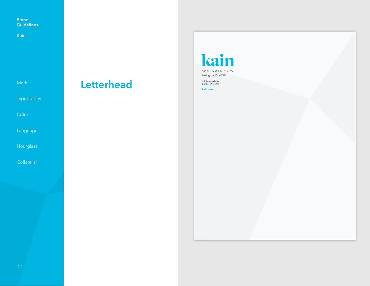**Kain**

Mark

Typography

Color

Language

Hourglass

**Collateral** 

# **Letterhead**

# kain

380 South Mill St., Ste. 204 Lexington, KY 40508

**T** 859.269.8302 **F** 248.928.5236

**kain.auto**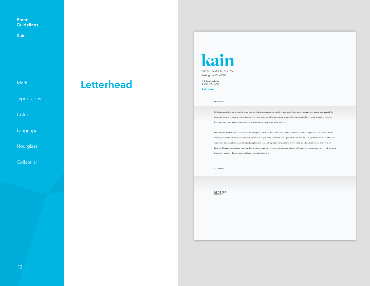**Kain**

Mark

Typography

Color

Language

**Hourglass** 

**Collateral** 

### **Letterhead**

# kain

380 South Mill St., Ste. 204 Lexington, KY 40508

**T** 859.269.8302 **F** 248.928.5236

**kain.auto** 

#### Hello Davis,

Sed ut perspiciatis unde omnis iste natus error sit voluptatem accusantium doloremque laudantium, totam rem aperiam, eaque ipsa quae ab illo inventore veritatis et quasi architecto beatae vitae dicta sunt explicabo. Nemo enim ipsam voluptatem quia voluptas sit aspernatur aut odit aut fugit, sed quia consequuntur magni dolores eos qui ratione voluptatem sequi nesciunt.

Lorem ipsum dolor sit amet, consectetur adipiscing elit, sed do eiusmod tempor incididunt ut labore et dolore magna aliqua. Ut enim ad minim veniam, quis nostrud exercitation ullamco laboris nisi ut aliquip ex ea commodo consequat. Duis aute irure dolor in reprehenderit in voluptate velit esse cillum dolore eu fugiat nulla pariatur. Excepteur sint occaecat cupidatat non proident, sunt in culpa qui officia deserunt mollit anim id est laborum. Neque porro quisquam est, qui dolorem ipsum quia dolor sit amet, consectetur, adipisci velit, sed quia non numquam eius modi tempora incidunt ut labore et dolore magnam aliquam quaerat voluptatem.

All the Best!

David Kain PRESIDENT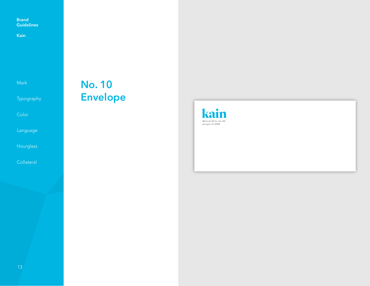**Kain**

Mark

Typography

Color

Language

**Hourglass** 

**Collateral** 

# **No. 10 Envelope**

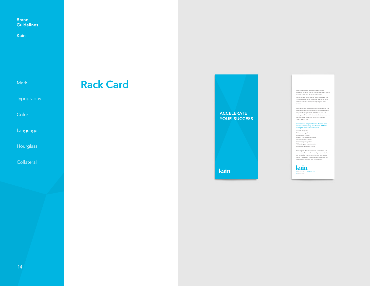**Kain**

Mark

Typography

Color

Language

**Hourglass** 

**Collateral** 

### **Rack Card**

**ACCELERATE YOUR SUCCESS** 

kain

Marketing Solutions that are customized for the specific needs of our clients. Because we focus on complementary integration of proven strategies and tactics into your current dealership operations, your team will embrace the opportunity to grow their business.

We find that each dealership has unique qualities that<br>we work with to provide the best purchase experience<br>for your internet prospects. Whether you are just<br>starting out, doing well but want to do better, or at the<br>top of

**Our focus is on your team's Professional Development using our Proven 8 Steps to Digital Success Curriculum**

1. Vision and goals<br>2. Customer experience<br>3. People and structure<br>4. Lead / Call handling processes<br>5. Communication tactics<br>6. Technology integration<br>8. Marketing and ongoing training<br>8. Marketing and ongoing training

We recognize that the success of our clients is our<br>scorecard and as a result we teach proven strategies<br>and tactics that assure immediate and long-lasting<br>results. Please let us know your vision and goals and<br>we'll craft

kain T 859.269.8302 F 248.928.5236 info@kain.auto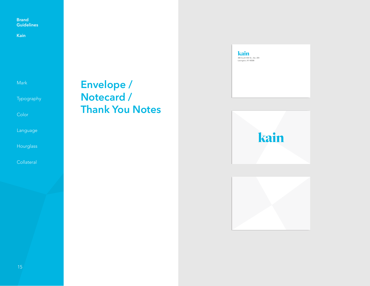**Kain**

Mark

Typography

Color

Language

**Hourglass** 

**Collateral** 

### **Envelope / Notecard / Thank You Notes**





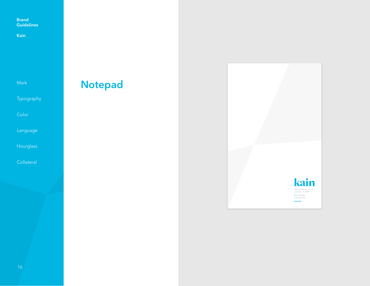**Kain**

Mark

Typography

Color

Language

Hourglass

Collateral

# **Notepad**

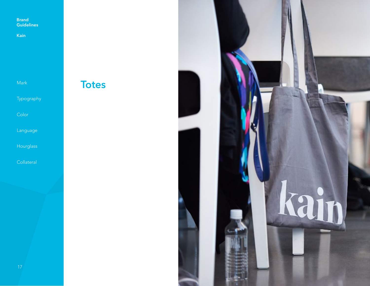**Kain**

Mark

Typography

Color

Language

**Hourglass** 

Collateral



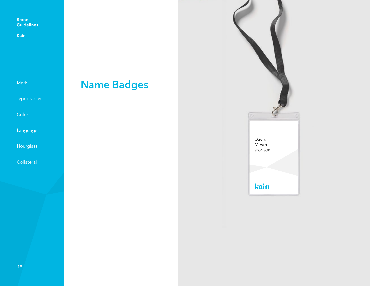**Kain**

| Mark |  |
|------|--|
|      |  |

Typography

Color

Language

Hourglass

Collateral

# **Name Badges**

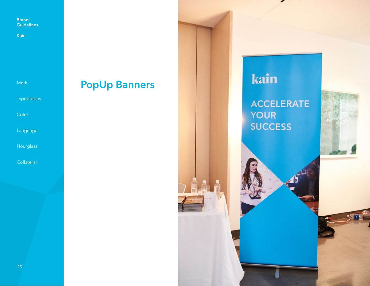**Kain**

Mark

Typography

Color

Language

**Hourglass** 

**Collateral** 

## **PopUp Banners**

kain

**ACCELERATE YOUR SUCCESS** 

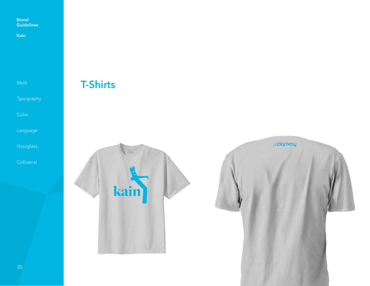**Kain**

Mark

Typography

Color

Language

Hourglass

Collateral

### **T-Shirts**

**elarivoy**  $\sigma =$ kain

20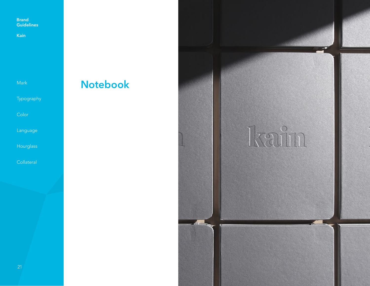**Kain**

Mark

Typography

Color

Language

**Hourglass** 

Collateral

# **Notebook**

Ixain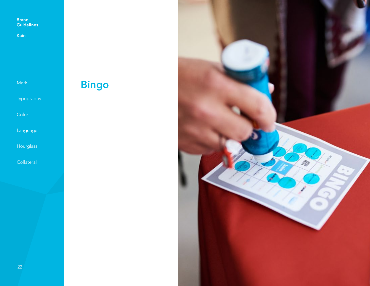**Kain**

Mark

Typography

Color

Language

Hourglass

Collateral

# **Bingo**

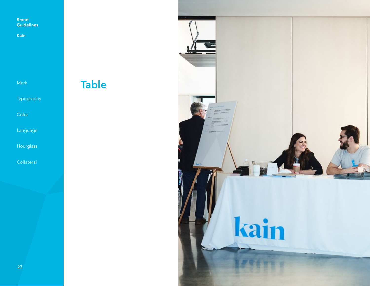**Kain**

Mark

Typography

Color

Language

**Hourglass** 

**Collateral**